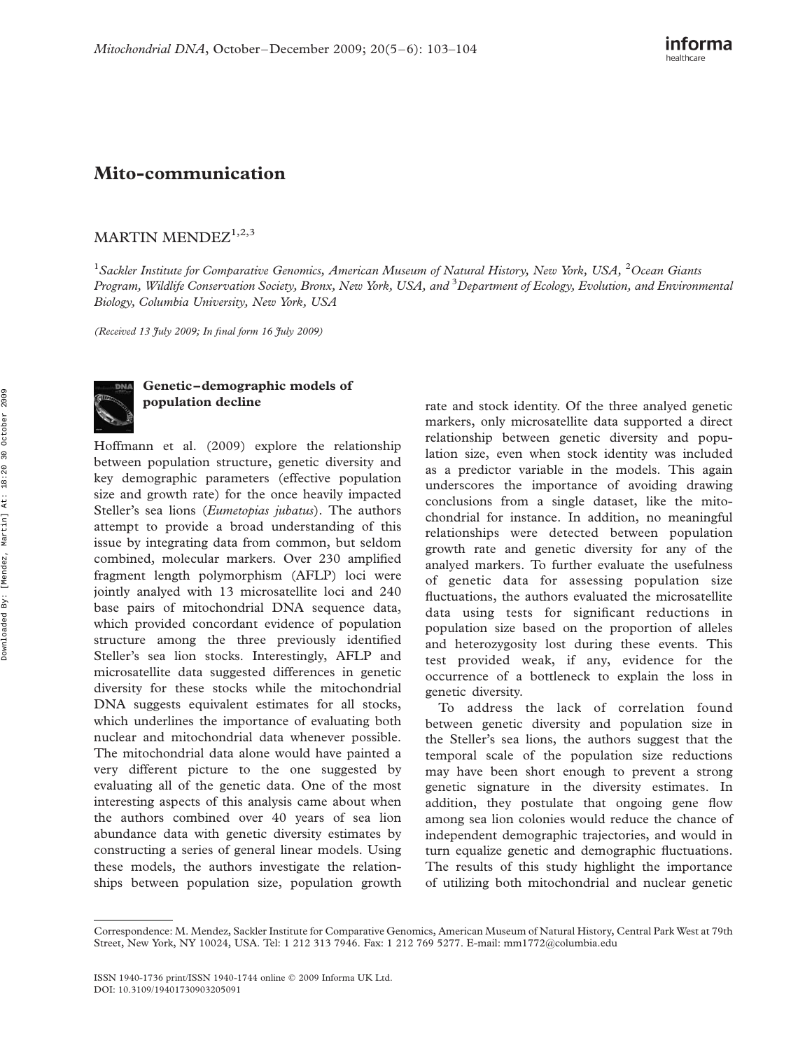## Mito-communication

## MARTIN MENDE $Z^{1,2,3}$

<sup>1</sup>Sackler Institute for Comparative Genomics, American Museum of Natural History, New York, USA, <sup>2</sup>Ocean Giants Program, Wildlife Conservation Society, Bronx, New York, USA, and <sup>3</sup>Department of Ecology, Evolution, and Environmental Biology, Columbia University, New York, USA

(Received 13 July 2009; In final form 16 July 2009)



## Genetic –demographic models of population decline

Hoffmann et al. (2009) explore the relationship between population structure, genetic diversity and key demographic parameters (effective population size and growth rate) for the once heavily impacted Steller's sea lions (Eumetopias jubatus). The authors attempt to provide a broad understanding of this issue by integrating data from common, but seldom combined, molecular markers. Over 230 amplified fragment length polymorphism (AFLP) loci were jointly analyed with 13 microsatellite loci and 240 base pairs of mitochondrial DNA sequence data, which provided concordant evidence of population structure among the three previously identified Steller's sea lion stocks. Interestingly, AFLP and microsatellite data suggested differences in genetic diversity for these stocks while the mitochondrial DNA suggests equivalent estimates for all stocks, which underlines the importance of evaluating both nuclear and mitochondrial data whenever possible. The mitochondrial data alone would have painted a very different picture to the one suggested by evaluating all of the genetic data. One of the most interesting aspects of this analysis came about when the authors combined over 40 years of sea lion abundance data with genetic diversity estimates by constructing a series of general linear models. Using these models, the authors investigate the relationships between population size, population growth rate and stock identity. Of the three analyed genetic markers, only microsatellite data supported a direct relationship between genetic diversity and population size, even when stock identity was included as a predictor variable in the models. This again underscores the importance of avoiding drawing conclusions from a single dataset, like the mitochondrial for instance. In addition, no meaningful relationships were detected between population growth rate and genetic diversity for any of the analyed markers. To further evaluate the usefulness of genetic data for assessing population size fluctuations, the authors evaluated the microsatellite data using tests for significant reductions in population size based on the proportion of alleles and heterozygosity lost during these events. This test provided weak, if any, evidence for the occurrence of a bottleneck to explain the loss in genetic diversity.

To address the lack of correlation found between genetic diversity and population size in the Steller's sea lions, the authors suggest that the temporal scale of the population size reductions may have been short enough to prevent a strong genetic signature in the diversity estimates. In addition, they postulate that ongoing gene flow among sea lion colonies would reduce the chance of independent demographic trajectories, and would in turn equalize genetic and demographic fluctuations. The results of this study highlight the importance of utilizing both mitochondrial and nuclear genetic

Correspondence: M. Mendez, Sackler Institute for Comparative Genomics, American Museum of Natural History, Central Park West at 79th Street, New York, NY 10024, USA. Tel: 1 212 313 7946. Fax: 1 212 769 5277. E-mail: mm1772@columbia.edu